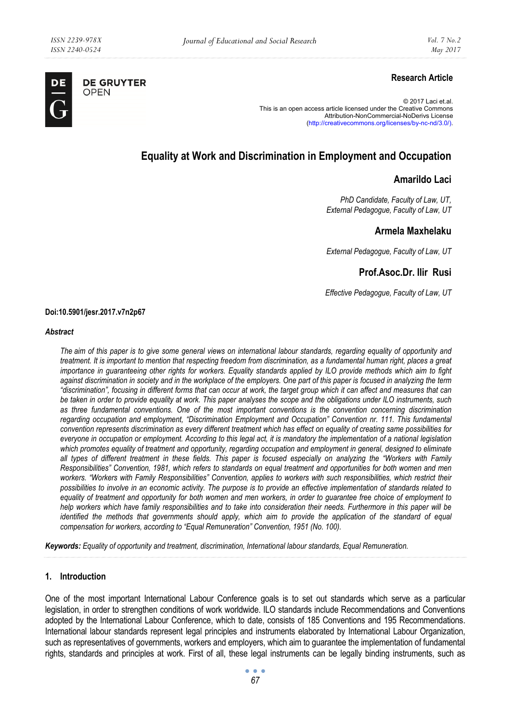

# **Research Article**

© 2017 Laci et.al. This is an open access article licensed under the Creative Commons Attribution-NonCommercial-NoDerivs License (http://creativecommons.org/licenses/by-nc-nd/3.0/).

# **Equality at Work and Discrimination in Employment and Occupation**

# **Amarildo Laci**

*PhD Candidate, Faculty of Law, UT, External Pedagogue, Faculty of Law, UT* 

# **Armela Maxhelaku**

*External Pedagogue, Faculty of Law, UT* 

# **Prof.Asoc.Dr. Ilir Rusi**

*Effective Pedagogue, Faculty of Law, UT* 

#### **Doi:10.5901/jesr.2017.v7n2p67**

#### *Abstract*

*The aim of this paper is to give some general views on international labour standards, regarding equality of opportunity and treatment. It is important to mention that respecting freedom from discrimination, as a fundamental human right, places a great importance in guaranteeing other rights for workers. Equality standards applied by ILO provide methods which aim to fight against discrimination in society and in the workplace of the employers. One part of this paper is focused in analyzing the term "discrimination", focusing in different forms that can occur at work, the target group which it can affect and measures that can be taken in order to provide equality at work. This paper analyses the scope and the obligations under ILO instruments, such as three fundamental conventions. One of the most important conventions is the convention concerning discrimination regarding occupation and employment, "Discrimination Employment and Occupation" Convention nr. 111. This fundamental convention represents discrimination as every different treatment which has effect on equality of creating same possibilities for everyone in occupation or employment. According to this legal act, it is mandatory the implementation of a national legislation* which promotes equality of treatment and opportunity, regarding occupation and employment in general, designed to eliminate *all types of different treatment in these fields. This paper is focused especially on analyzing the "Workers with Family Responsibilities" Convention, 1981, which refers to standards on equal treatment and opportunities for both women and men workers. "Workers with Family Responsibilities" Convention, applies to workers with such responsibilities, which restrict their possibilities to involve in an economic activity. The purpose is to provide an effective implementation of standards related to equality of treatment and opportunity for both women and men workers, in order to guarantee free choice of employment to help workers which have family responsibilities and to take into consideration their needs. Furthermore in this paper will be identified the methods that governments should apply, which aim to provide the application of the standard of equal compensation for workers, according to "Equal Remuneration" Convention, 1951 (No. 100).* 

*Keywords: Equality of opportunity and treatment, discrimination, International labour standards, Equal Remuneration.* 

## **1. Introduction**

One of the most important International Labour Conference goals is to set out standards which serve as a particular legislation, in order to strengthen conditions of work worldwide. ILO standards include Recommendations and Conventions adopted by the International Labour Conference, which to date, consists of 185 Conventions and 195 Recommendations. International labour standards represent legal principles and instruments elaborated by International Labour Organization, such as representatives of governments, workers and employers, which aim to guarantee the implementation of fundamental rights, standards and principles at work. First of all, these legal instruments can be legally binding instruments, such as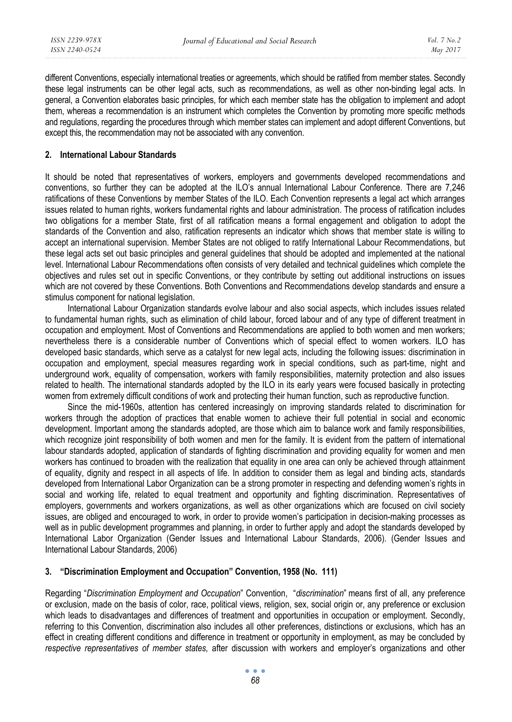different Conventions, especially international treaties or agreements, which should be ratified from member states. Secondly these legal instruments can be other legal acts, such as recommendations, as well as other non-binding legal acts. In general, a Convention elaborates basic principles, for which each member state has the obligation to implement and adopt them, whereas a recommendation is an instrument which completes the Convention by promoting more specific methods and regulations, regarding the procedures through which member states can implement and adopt different Conventions, but except this, the recommendation may not be associated with any convention.

### **2. International Labour Standards**

It should be noted that representatives of workers, employers and governments developed recommendations and conventions, so further they can be adopted at the ILO's annual International Labour Conference. There are 7,246 ratifications of these Conventions by member States of the ILO. Each Convention represents a legal act which arranges issues related to human rights, workers fundamental rights and labour administration. The process of ratification includes two obligations for a member State, first of all ratification means a formal engagement and obligation to adopt the standards of the Convention and also, ratification represents an indicator which shows that member state is willing to accept an international supervision. Member States are not obliged to ratify International Labour Recommendations, but these legal acts set out basic principles and general guidelines that should be adopted and implemented at the national level. International Labour Recommendations often consists of very detailed and technical guidelines which complete the objectives and rules set out in specific Conventions, or they contribute by setting out additional instructions on issues which are not covered by these Conventions. Both Conventions and Recommendations develop standards and ensure a stimulus component for national legislation.

International Labour Organization standards evolve labour and also social aspects, which includes issues related to fundamental human rights, such as elimination of child labour, forced labour and of any type of different treatment in occupation and employment. Most of Conventions and Recommendations are applied to both women and men workers; nevertheless there is a considerable number of Conventions which of special effect to women workers. ILO has developed basic standards, which serve as a catalyst for new legal acts, including the following issues: discrimination in occupation and employment, special measures regarding work in special conditions, such as part-time, night and underground work, equality of compensation, workers with family responsibilities, maternity protection and also issues related to health. The international standards adopted by the ILO in its early years were focused basically in protecting women from extremely difficult conditions of work and protecting their human function, such as reproductive function.

Since the mid-1960s, attention has centered increasingly on improving standards related to discrimination for workers through the adoption of practices that enable women to achieve their full potential in social and economic development. Important among the standards adopted, are those which aim to balance work and family responsibilities, which recognize joint responsibility of both women and men for the family. It is evident from the pattern of international labour standards adopted, application of standards of fighting discrimination and providing equality for women and men workers has continued to broaden with the realization that equality in one area can only be achieved through attainment of equality, dignity and respect in all aspects of life. In addition to consider them as legal and binding acts, standards developed from International Labor Organization can be a strong promoter in respecting and defending women's rights in social and working life, related to equal treatment and opportunity and fighting discrimination. Representatives of employers, governments and workers organizations, as well as other organizations which are focused on civil society issues, are obliged and encouraged to work, in order to provide women's participation in decision-making processes as well as in public development programmes and planning, in order to further apply and adopt the standards developed by International Labor Organization (Gender Issues and International Labour Standards, 2006). (Gender Issues and International Labour Standards, 2006)

# **3. "Discrimination Employment and Occupation" Convention, 1958 (No. 111)**

Regarding "*Discrimination Employment and Occupation*" Convention, "*discrimination*" means first of all, any preference or exclusion, made on the basis of color, race, political views, religion, sex, social origin or, any preference or exclusion which leads to disadvantages and differences of treatment and opportunities in occupation or employment. Secondly, referring to this Convention, discrimination also includes all other preferences, distinctions or exclusions, which has an effect in creating different conditions and difference in treatment or opportunity in employment, as may be concluded by *respective representatives of member states,* after discussion with workers and employer's organizations and other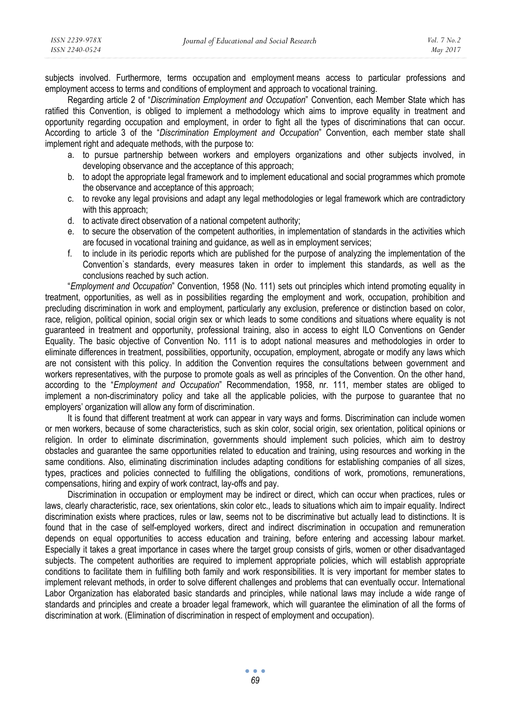subjects involved. Furthermore, terms occupation and employment means access to particular professions and employment access to terms and conditions of employment and approach to vocational training.

Regarding article 2 of "*Discrimination Employment and Occupation*" Convention, each Member State which has ratified this Convention, is obliged to implement a methodology which aims to improve equality in treatment and opportunity regarding occupation and employment, in order to fight all the types of discriminations that can occur. According to article 3 of the "*Discrimination Employment and Occupation*" Convention, each member state shall implement right and adequate methods, with the purpose to:

- a. to pursue partnership between workers and employers organizations and other subjects involved, in developing observance and the acceptance of this approach;
- b. to adopt the appropriate legal framework and to implement educational and social programmes which promote the observance and acceptance of this approach;
- c. to revoke any legal provisions and adapt any legal methodologies or legal framework which are contradictory with this approach:
- d. to activate direct observation of a national competent authority;
- e. to secure the observation of the competent authorities, in implementation of standards in the activities which are focused in vocational training and guidance, as well as in employment services;
- f. to include in its periodic reports which are published for the purpose of analyzing the implementation of the Convention`s standards, every measures taken in order to implement this standards, as well as the conclusions reached by such action.

"*Employment and Occupation*" Convention, 1958 (No. 111) sets out principles which intend promoting equality in treatment, opportunities, as well as in possibilities regarding the employment and work, occupation, prohibition and precluding discrimination in work and employment, particularly any exclusion, preference or distinction based on color, race, religion, political opinion, social origin sex or which leads to some conditions and situations where equality is not guaranteed in treatment and opportunity, professional training, also in access to eight ILO Conventions on Gender Equality. The basic objective of Convention No. 111 is to adopt national measures and methodologies in order to eliminate differences in treatment, possibilities, opportunity, occupation, employment, abrogate or modify any laws which are not consistent with this policy. In addition the Convention requires the consultations between government and workers representatives, with the purpose to promote goals as well as principles of the Convention. On the other hand, according to the "*Employment and Occupation*" Recommendation, 1958, nr. 111, member states are obliged to implement a non-discriminatory policy and take all the applicable policies, with the purpose to guarantee that no employers' organization will allow any form of discrimination.

It is found that different treatment at work can appear in vary ways and forms. Discrimination can include women or men workers, because of some characteristics, such as skin color, social origin, sex orientation, political opinions or religion. In order to eliminate discrimination, governments should implement such policies, which aim to destroy obstacles and guarantee the same opportunities related to education and training, using resources and working in the same conditions. Also, eliminating discrimination includes adapting conditions for establishing companies of all sizes, types, practices and policies connected to fulfilling the obligations, conditions of work, promotions, remunerations, compensations, hiring and expiry of work contract, lay-offs and pay.

Discrimination in occupation or employment may be indirect or direct, which can occur when practices, rules or laws, clearly characteristic, race, sex orientations, skin color etc., leads to situations which aim to impair equality. Indirect discrimination exists where practices, rules or law, seems not to be discriminative but actually lead to distinctions. It is found that in the case of self-employed workers, direct and indirect discrimination in occupation and remuneration depends on equal opportunities to access education and training, before entering and accessing labour market. Especially it takes a great importance in cases where the target group consists of girls, women or other disadvantaged subjects. The competent authorities are required to implement appropriate policies, which will establish appropriate conditions to facilitate them in fulfilling both family and work responsibilities. It is very important for member states to implement relevant methods, in order to solve different challenges and problems that can eventually occur. International Labor Organization has elaborated basic standards and principles, while national laws may include a wide range of standards and principles and create a broader legal framework, which will guarantee the elimination of all the forms of discrimination at work. (Elimination of discrimination in respect of employment and occupation).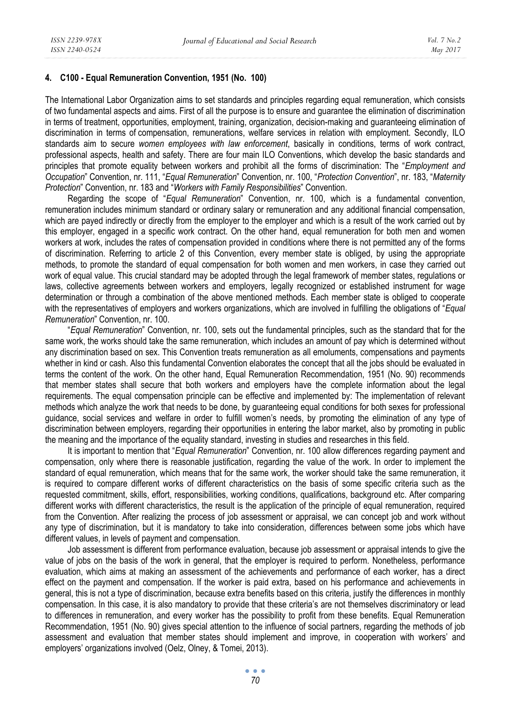#### **4. C100 - Equal Remuneration Convention, 1951 (No. 100)**

The International Labor Organization aims to set standards and principles regarding equal remuneration, which consists of two fundamental aspects and aims. First of all the purpose is to ensure and guarantee the elimination of discrimination in terms of treatment, opportunities, employment, training, organization, decision-making and guaranteeing elimination of discrimination in terms of compensation, remunerations, welfare services in relation with employment. Secondly, ILO standards aim to secure *women employees with law enforcement*, basically in conditions, terms of work contract, professional aspects, health and safety. There are four main ILO Conventions, which develop the basic standards and principles that promote equality between workers and prohibit all the forms of discrimination: The "*Employment and Occupation*" Convention, nr. 111, "*Equal Remuneration*" Convention, nr. 100, "*Protection Convention*", nr. 183, "*Maternity Protection*" Convention, nr. 183 and "*Workers with Family Responsibilities*" Convention.

Regarding the scope of "*Equal Remuneration*" Convention, nr. 100, which is a fundamental convention, remuneration includes minimum standard or ordinary salary or remuneration and any additional financial compensation, which are payed indirectly or directly from the employer to the employer and which is a result of the work carried out by this employer, engaged in a specific work contract. On the other hand, equal remuneration for both men and women workers at work, includes the rates of compensation provided in conditions where there is not permitted any of the forms of discrimination. Referring to article 2 of this Convention, every member state is obliged, by using the appropriate methods, to promote the standard of equal compensation for both women and men workers, in case they carried out work of equal value. This crucial standard may be adopted through the legal framework of member states, regulations or laws, collective agreements between workers and employers, legally recognized or established instrument for wage determination or through a combination of the above mentioned methods. Each member state is obliged to cooperate with the representatives of employers and workers organizations, which are involved in fulfilling the obligations of "*Equal Remuneration*" Convention, nr. 100.

"*Equal Remuneration*" Convention, nr. 100, sets out the fundamental principles, such as the standard that for the same work, the works should take the same remuneration, which includes an amount of pay which is determined without any discrimination based on sex. This Convention treats remuneration as all emoluments, compensations and payments whether in kind or cash. Also this fundamental Convention elaborates the concept that all the jobs should be evaluated in terms the content of the work. On the other hand, Equal Remuneration Recommendation, 1951 (No. 90) recommends that member states shall secure that both workers and employers have the complete information about the legal requirements. The equal compensation principle can be effective and implemented by: The implementation of relevant methods which analyze the work that needs to be done, by guaranteeing equal conditions for both sexes for professional guidance, social services and welfare in order to fulfill women's needs, by promoting the elimination of any type of discrimination between employers, regarding their opportunities in entering the labor market, also by promoting in public the meaning and the importance of the equality standard, investing in studies and researches in this field.

It is important to mention that "*Equal Remuneration*" Convention, nr. 100 allow differences regarding payment and compensation, only where there is reasonable justification, regarding the value of the work. In order to implement the standard of equal remuneration, which means that for the same work, the worker should take the same remuneration, it is required to compare different works of different characteristics on the basis of some specific criteria such as the requested commitment, skills, effort, responsibilities, working conditions, qualifications, background etc. After comparing different works with different characteristics, the result is the application of the principle of equal remuneration, required from the Convention. After realizing the process of job assessment or appraisal, we can concept job and work without any type of discrimination, but it is mandatory to take into consideration, differences between some jobs which have different values, in levels of payment and compensation.

Job assessment is different from performance evaluation, because job assessment or appraisal intends to give the value of jobs on the basis of the work in general, that the employer is required to perform. Nonetheless, performance evaluation, which aims at making an assessment of the achievements and performance of each worker, has a direct effect on the payment and compensation. If the worker is paid extra, based on his performance and achievements in general, this is not a type of discrimination, because extra benefits based on this criteria, justify the differences in monthly compensation. In this case, it is also mandatory to provide that these criteria's are not themselves discriminatory or lead to differences in remuneration, and every worker has the possibility to profit from these benefits. Equal Remuneration Recommendation, 1951 (No. 90) gives special attention to the influence of social partners, regarding the methods of job assessment and evaluation that member states should implement and improve, in cooperation with workers' and employers' organizations involved (Oelz, Olney, & Tomei, 2013).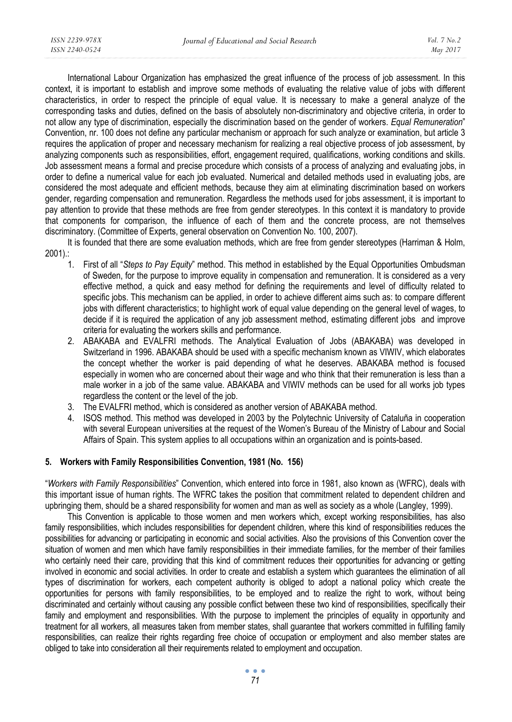International Labour Organization has emphasized the great influence of the process of job assessment. In this context, it is important to establish and improve some methods of evaluating the relative value of jobs with different characteristics, in order to respect the principle of equal value. It is necessary to make a general analyze of the corresponding tasks and duties, defined on the basis of absolutely non-discriminatory and objective criteria, in order to not allow any type of discrimination, especially the discrimination based on the gender of workers. *Equal Remuneration*" Convention, nr. 100 does not define any particular mechanism or approach for such analyze or examination, but article 3 requires the application of proper and necessary mechanism for realizing a real objective process of job assessment, by analyzing components such as responsibilities, effort, engagement required, qualifications, working conditions and skills. Job assessment means a formal and precise procedure which consists of a process of analyzing and evaluating jobs, in order to define a numerical value for each job evaluated. Numerical and detailed methods used in evaluating jobs, are considered the most adequate and efficient methods, because they aim at eliminating discrimination based on workers gender, regarding compensation and remuneration. Regardless the methods used for jobs assessment, it is important to pay attention to provide that these methods are free from gender stereotypes. In this context it is mandatory to provide that components for comparison, the influence of each of them and the concrete process, are not themselves discriminatory. (Committee of Experts, general observation on Convention No. 100, 2007).

It is founded that there are some evaluation methods, which are free from gender stereotypes (Harriman & Holm, 2001).:

- 1. First of all "*Steps to Pay Equity*" method. This method in established by the Equal Opportunities Ombudsman of Sweden, for the purpose to improve equality in compensation and remuneration. It is considered as a very effective method, a quick and easy method for defining the requirements and level of difficulty related to specific jobs. This mechanism can be applied, in order to achieve different aims such as: to compare different jobs with different characteristics; to highlight work of equal value depending on the general level of wages, to decide if it is required the application of any job assessment method, estimating different jobs and improve criteria for evaluating the workers skills and performance.
- 2. ABAKABA and EVALFRI methods. The Analytical Evaluation of Jobs (ABAKABA) was developed in Switzerland in 1996. ABAKABA should be used with a specific mechanism known as VIWIV, which elaborates the concept whether the worker is paid depending of what he deserves. ABAKABA method is focused especially in women who are concerned about their wage and who think that their remuneration is less than a male worker in a job of the same value. ABAKABA and VIWIV methods can be used for all works job types regardless the content or the level of the job.
- 3. The EVALFRI method, which is considered as another version of ABAKABA method.
- 4. ISOS method. This method was developed in 2003 by the Polytechnic University of Cataluña in cooperation with several European universities at the request of the Women's Bureau of the Ministry of Labour and Social Affairs of Spain. This system applies to all occupations within an organization and is points-based.

### **5. Workers with Family Responsibilities Convention, 1981 (No. 156)**

"*Workers with Family Responsibilities*" Convention, which entered into force in 1981, also known as (WFRC), deals with this important issue of human rights. The WFRC takes the position that commitment related to dependent children and upbringing them, should be a shared responsibility for women and man as well as society as a whole (Langley, 1999).

This Convention is applicable to those women and men workers which, except working responsibilities, has also family responsibilities, which includes responsibilities for dependent children, where this kind of responsibilities reduces the possibilities for advancing or participating in economic and social activities. Also the provisions of this Convention cover the situation of women and men which have family responsibilities in their immediate families, for the member of their families who certainly need their care, providing that this kind of commitment reduces their opportunities for advancing or getting involved in economic and social activities. In order to create and establish a system which guarantees the elimination of all types of discrimination for workers, each competent authority is obliged to adopt a national policy which create the opportunities for persons with family responsibilities, to be employed and to realize the right to work, without being discriminated and certainly without causing any possible conflict between these two kind of responsibilities, specifically their family and employment and responsibilities. With the purpose to implement the principles of equality in opportunity and treatment for all workers, all measures taken from member states, shall guarantee that workers committed in fulfilling family responsibilities, can realize their rights regarding free choice of occupation or employment and also member states are obliged to take into consideration all their requirements related to employment and occupation.